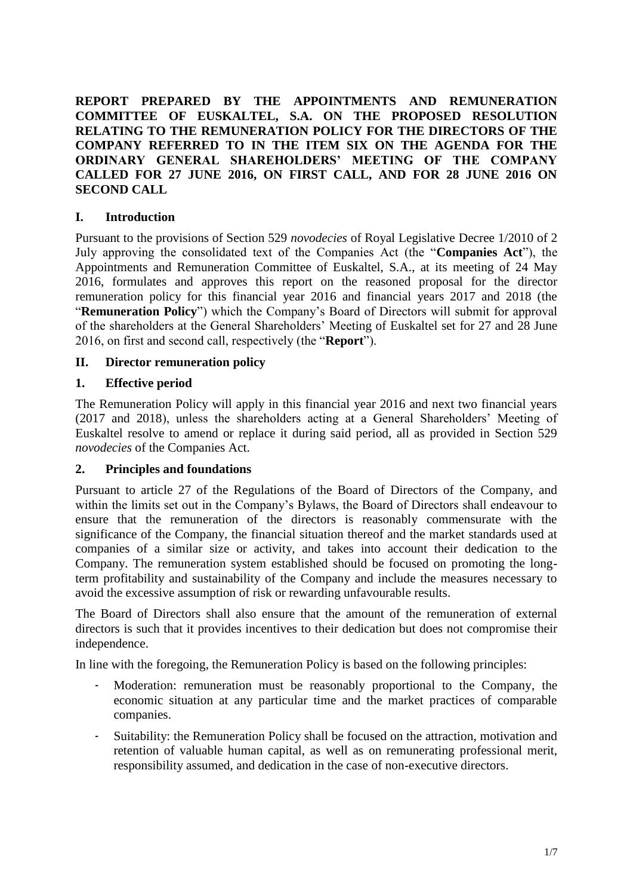**REPORT PREPARED BY THE APPOINTMENTS AND REMUNERATION COMMITTEE OF EUSKALTEL, S.A. ON THE PROPOSED RESOLUTION RELATING TO THE REMUNERATION POLICY FOR THE DIRECTORS OF THE COMPANY REFERRED TO IN THE ITEM SIX ON THE AGENDA FOR THE ORDINARY GENERAL SHAREHOLDERS' MEETING OF THE COMPANY CALLED FOR 27 JUNE 2016, ON FIRST CALL, AND FOR 28 JUNE 2016 ON SECOND CALL**

#### **I. Introduction**

Pursuant to the provisions of Section 529 *novodecies* of Royal Legislative Decree 1/2010 of 2 July approving the consolidated text of the Companies Act (the "**Companies Act**"), the Appointments and Remuneration Committee of Euskaltel, S.A., at its meeting of 24 May 2016, formulates and approves this report on the reasoned proposal for the director remuneration policy for this financial year 2016 and financial years 2017 and 2018 (the "**Remuneration Policy**") which the Company's Board of Directors will submit for approval of the shareholders at the General Shareholders' Meeting of Euskaltel set for 27 and 28 June 2016, on first and second call, respectively (the "**Report**").

### **II. Director remuneration policy**

#### **1. Effective period**

The Remuneration Policy will apply in this financial year 2016 and next two financial years (2017 and 2018), unless the shareholders acting at a General Shareholders' Meeting of Euskaltel resolve to amend or replace it during said period, all as provided in Section 529 *novodecies* of the Companies Act.

#### **2. Principles and foundations**

Pursuant to article 27 of the Regulations of the Board of Directors of the Company, and within the limits set out in the Company's Bylaws, the Board of Directors shall endeavour to ensure that the remuneration of the directors is reasonably commensurate with the significance of the Company, the financial situation thereof and the market standards used at companies of a similar size or activity, and takes into account their dedication to the Company. The remuneration system established should be focused on promoting the longterm profitability and sustainability of the Company and include the measures necessary to avoid the excessive assumption of risk or rewarding unfavourable results.

The Board of Directors shall also ensure that the amount of the remuneration of external directors is such that it provides incentives to their dedication but does not compromise their independence.

In line with the foregoing, the Remuneration Policy is based on the following principles:

- Moderation: remuneration must be reasonably proportional to the Company, the economic situation at any particular time and the market practices of comparable companies.
- Suitability: the Remuneration Policy shall be focused on the attraction, motivation and retention of valuable human capital, as well as on remunerating professional merit, responsibility assumed, and dedication in the case of non-executive directors.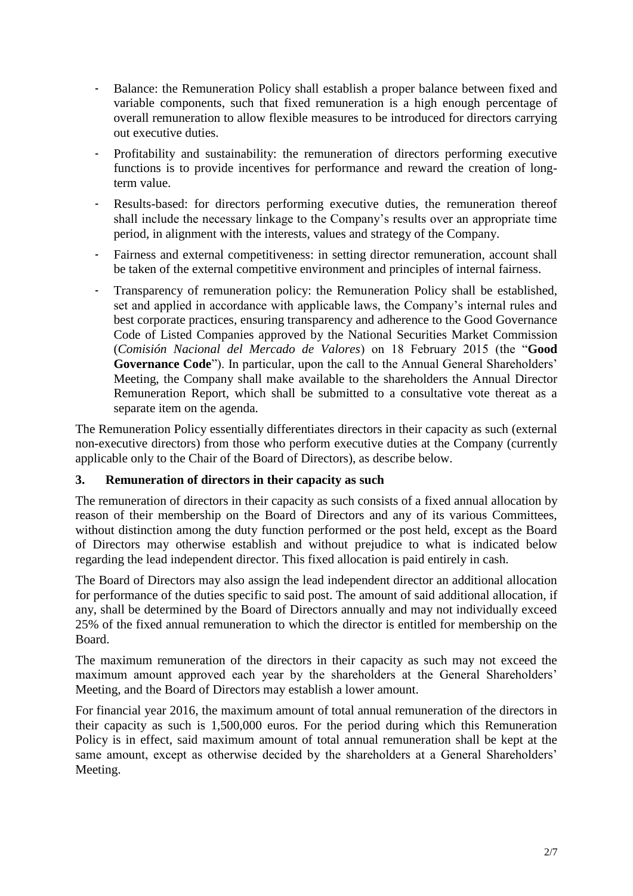- Balance: the Remuneration Policy shall establish a proper balance between fixed and variable components, such that fixed remuneration is a high enough percentage of overall remuneration to allow flexible measures to be introduced for directors carrying out executive duties.
- Profitability and sustainability: the remuneration of directors performing executive functions is to provide incentives for performance and reward the creation of longterm value.
- Results-based: for directors performing executive duties, the remuneration thereof shall include the necessary linkage to the Company's results over an appropriate time period, in alignment with the interests, values and strategy of the Company.
- Fairness and external competitiveness: in setting director remuneration, account shall be taken of the external competitive environment and principles of internal fairness.
- Transparency of remuneration policy: the Remuneration Policy shall be established, set and applied in accordance with applicable laws, the Company's internal rules and best corporate practices, ensuring transparency and adherence to the Good Governance Code of Listed Companies approved by the National Securities Market Commission (*Comisión Nacional del Mercado de Valores*) on 18 February 2015 (the "**Good Governance Code**"). In particular, upon the call to the Annual General Shareholders' Meeting, the Company shall make available to the shareholders the Annual Director Remuneration Report, which shall be submitted to a consultative vote thereat as a separate item on the agenda.

The Remuneration Policy essentially differentiates directors in their capacity as such (external non-executive directors) from those who perform executive duties at the Company (currently applicable only to the Chair of the Board of Directors), as describe below.

### **3. Remuneration of directors in their capacity as such**

The remuneration of directors in their capacity as such consists of a fixed annual allocation by reason of their membership on the Board of Directors and any of its various Committees, without distinction among the duty function performed or the post held, except as the Board of Directors may otherwise establish and without prejudice to what is indicated below regarding the lead independent director. This fixed allocation is paid entirely in cash.

The Board of Directors may also assign the lead independent director an additional allocation for performance of the duties specific to said post. The amount of said additional allocation, if any, shall be determined by the Board of Directors annually and may not individually exceed 25% of the fixed annual remuneration to which the director is entitled for membership on the Board.

The maximum remuneration of the directors in their capacity as such may not exceed the maximum amount approved each year by the shareholders at the General Shareholders' Meeting, and the Board of Directors may establish a lower amount.

For financial year 2016, the maximum amount of total annual remuneration of the directors in their capacity as such is 1,500,000 euros. For the period during which this Remuneration Policy is in effect, said maximum amount of total annual remuneration shall be kept at the same amount, except as otherwise decided by the shareholders at a General Shareholders' Meeting.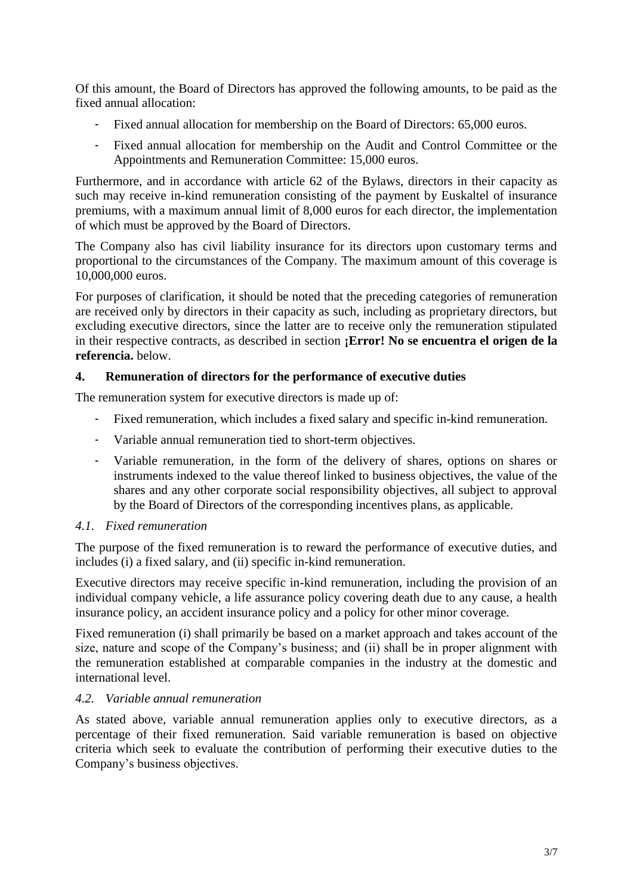Of this amount, the Board of Directors has approved the following amounts, to be paid as the fixed annual allocation:

- Fixed annual allocation for membership on the Board of Directors: 65,000 euros.
- Fixed annual allocation for membership on the Audit and Control Committee or the Appointments and Remuneration Committee: 15,000 euros.

Furthermore, and in accordance with article 62 of the Bylaws, directors in their capacity as such may receive in-kind remuneration consisting of the payment by Euskaltel of insurance premiums, with a maximum annual limit of 8,000 euros for each director, the implementation of which must be approved by the Board of Directors.

The Company also has civil liability insurance for its directors upon customary terms and proportional to the circumstances of the Company. The maximum amount of this coverage is 10,000,000 euros.

For purposes of clarification, it should be noted that the preceding categories of remuneration are received only by directors in their capacity as such, including as proprietary directors, but excluding executive directors, since the latter are to receive only the remuneration stipulated in their respective contracts, as described in section **¡Error! No se encuentra el origen de la referencia.** below.

## **4. Remuneration of directors for the performance of executive duties**

The remuneration system for executive directors is made up of:

- Fixed remuneration, which includes a fixed salary and specific in-kind remuneration.
- Variable annual remuneration tied to short-term objectives.
- Variable remuneration, in the form of the delivery of shares, options on shares or instruments indexed to the value thereof linked to business objectives, the value of the shares and any other corporate social responsibility objectives, all subject to approval by the Board of Directors of the corresponding incentives plans, as applicable.

### *4.1. Fixed remuneration*

The purpose of the fixed remuneration is to reward the performance of executive duties, and includes (i) a fixed salary, and (ii) specific in-kind remuneration.

Executive directors may receive specific in-kind remuneration, including the provision of an individual company vehicle, a life assurance policy covering death due to any cause, a health insurance policy, an accident insurance policy and a policy for other minor coverage.

Fixed remuneration (i) shall primarily be based on a market approach and takes account of the size, nature and scope of the Company's business; and (ii) shall be in proper alignment with the remuneration established at comparable companies in the industry at the domestic and international level.

### *4.2. Variable annual remuneration*

As stated above, variable annual remuneration applies only to executive directors, as a percentage of their fixed remuneration. Said variable remuneration is based on objective criteria which seek to evaluate the contribution of performing their executive duties to the Company's business objectives.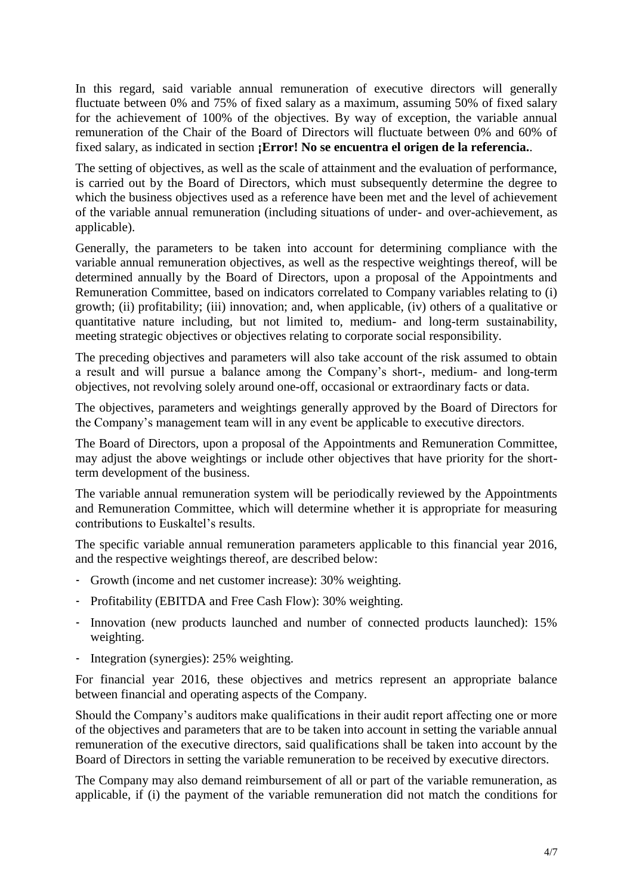In this regard, said variable annual remuneration of executive directors will generally fluctuate between 0% and 75% of fixed salary as a maximum, assuming 50% of fixed salary for the achievement of 100% of the objectives. By way of exception, the variable annual remuneration of the Chair of the Board of Directors will fluctuate between 0% and 60% of fixed salary, as indicated in section **¡Error! No se encuentra el origen de la referencia.**.

The setting of objectives, as well as the scale of attainment and the evaluation of performance, is carried out by the Board of Directors, which must subsequently determine the degree to which the business objectives used as a reference have been met and the level of achievement of the variable annual remuneration (including situations of under- and over-achievement, as applicable).

Generally, the parameters to be taken into account for determining compliance with the variable annual remuneration objectives, as well as the respective weightings thereof, will be determined annually by the Board of Directors, upon a proposal of the Appointments and Remuneration Committee, based on indicators correlated to Company variables relating to (i) growth; (ii) profitability; (iii) innovation; and, when applicable, (iv) others of a qualitative or quantitative nature including, but not limited to, medium- and long-term sustainability, meeting strategic objectives or objectives relating to corporate social responsibility.

The preceding objectives and parameters will also take account of the risk assumed to obtain a result and will pursue a balance among the Company's short-, medium- and long-term objectives, not revolving solely around one-off, occasional or extraordinary facts or data.

The objectives, parameters and weightings generally approved by the Board of Directors for the Company's management team will in any event be applicable to executive directors.

The Board of Directors, upon a proposal of the Appointments and Remuneration Committee, may adjust the above weightings or include other objectives that have priority for the shortterm development of the business.

The variable annual remuneration system will be periodically reviewed by the Appointments and Remuneration Committee, which will determine whether it is appropriate for measuring contributions to Euskaltel's results.

The specific variable annual remuneration parameters applicable to this financial year 2016, and the respective weightings thereof, are described below:

- Growth (income and net customer increase): 30% weighting.
- Profitability (EBITDA and Free Cash Flow): 30% weighting.
- Innovation (new products launched and number of connected products launched): 15% weighting.
- Integration (synergies): 25% weighting.

For financial year 2016, these objectives and metrics represent an appropriate balance between financial and operating aspects of the Company.

Should the Company's auditors make qualifications in their audit report affecting one or more of the objectives and parameters that are to be taken into account in setting the variable annual remuneration of the executive directors, said qualifications shall be taken into account by the Board of Directors in setting the variable remuneration to be received by executive directors.

The Company may also demand reimbursement of all or part of the variable remuneration, as applicable, if (i) the payment of the variable remuneration did not match the conditions for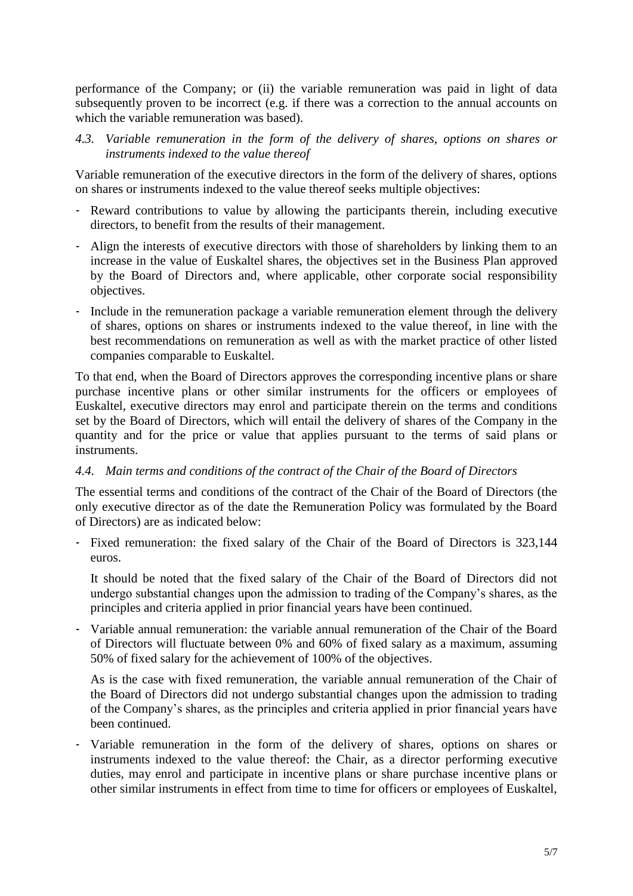performance of the Company; or (ii) the variable remuneration was paid in light of data subsequently proven to be incorrect (e.g. if there was a correction to the annual accounts on which the variable remuneration was based).

*4.3. Variable remuneration in the form of the delivery of shares, options on shares or instruments indexed to the value thereof*

Variable remuneration of the executive directors in the form of the delivery of shares, options on shares or instruments indexed to the value thereof seeks multiple objectives:

- Reward contributions to value by allowing the participants therein, including executive directors, to benefit from the results of their management.
- Align the interests of executive directors with those of shareholders by linking them to an increase in the value of Euskaltel shares, the objectives set in the Business Plan approved by the Board of Directors and, where applicable, other corporate social responsibility objectives.
- Include in the remuneration package a variable remuneration element through the delivery of shares, options on shares or instruments indexed to the value thereof, in line with the best recommendations on remuneration as well as with the market practice of other listed companies comparable to Euskaltel.

To that end, when the Board of Directors approves the corresponding incentive plans or share purchase incentive plans or other similar instruments for the officers or employees of Euskaltel, executive directors may enrol and participate therein on the terms and conditions set by the Board of Directors, which will entail the delivery of shares of the Company in the quantity and for the price or value that applies pursuant to the terms of said plans or instruments.

### *4.4. Main terms and conditions of the contract of the Chair of the Board of Directors*

The essential terms and conditions of the contract of the Chair of the Board of Directors (the only executive director as of the date the Remuneration Policy was formulated by the Board of Directors) are as indicated below:

- Fixed remuneration: the fixed salary of the Chair of the Board of Directors is 323,144 euros.

It should be noted that the fixed salary of the Chair of the Board of Directors did not undergo substantial changes upon the admission to trading of the Company's shares, as the principles and criteria applied in prior financial years have been continued.

- Variable annual remuneration: the variable annual remuneration of the Chair of the Board of Directors will fluctuate between 0% and 60% of fixed salary as a maximum, assuming 50% of fixed salary for the achievement of 100% of the objectives.

As is the case with fixed remuneration, the variable annual remuneration of the Chair of the Board of Directors did not undergo substantial changes upon the admission to trading of the Company's shares, as the principles and criteria applied in prior financial years have been continued.

- Variable remuneration in the form of the delivery of shares, options on shares or instruments indexed to the value thereof: the Chair, as a director performing executive duties, may enrol and participate in incentive plans or share purchase incentive plans or other similar instruments in effect from time to time for officers or employees of Euskaltel,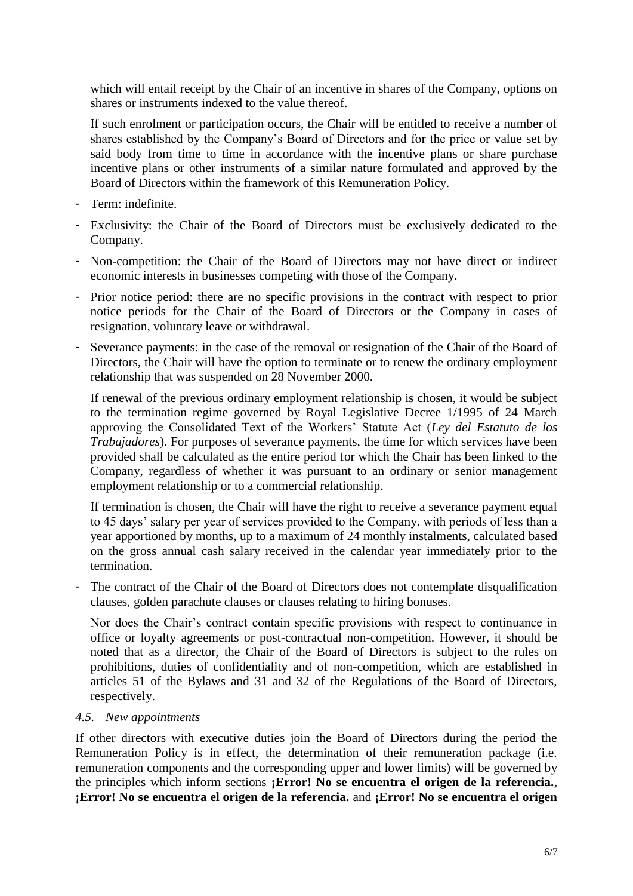which will entail receipt by the Chair of an incentive in shares of the Company, options on shares or instruments indexed to the value thereof.

If such enrolment or participation occurs, the Chair will be entitled to receive a number of shares established by the Company's Board of Directors and for the price or value set by said body from time to time in accordance with the incentive plans or share purchase incentive plans or other instruments of a similar nature formulated and approved by the Board of Directors within the framework of this Remuneration Policy.

- Term: indefinite.
- Exclusivity: the Chair of the Board of Directors must be exclusively dedicated to the Company.
- Non-competition: the Chair of the Board of Directors may not have direct or indirect economic interests in businesses competing with those of the Company.
- Prior notice period: there are no specific provisions in the contract with respect to prior notice periods for the Chair of the Board of Directors or the Company in cases of resignation, voluntary leave or withdrawal.
- Severance payments: in the case of the removal or resignation of the Chair of the Board of Directors, the Chair will have the option to terminate or to renew the ordinary employment relationship that was suspended on 28 November 2000.

If renewal of the previous ordinary employment relationship is chosen, it would be subject to the termination regime governed by Royal Legislative Decree 1/1995 of 24 March approving the Consolidated Text of the Workers' Statute Act (*Ley del Estatuto de los Trabajadores*). For purposes of severance payments, the time for which services have been provided shall be calculated as the entire period for which the Chair has been linked to the Company, regardless of whether it was pursuant to an ordinary or senior management employment relationship or to a commercial relationship.

If termination is chosen, the Chair will have the right to receive a severance payment equal to 45 days' salary per year of services provided to the Company, with periods of less than a year apportioned by months, up to a maximum of 24 monthly instalments, calculated based on the gross annual cash salary received in the calendar year immediately prior to the termination.

The contract of the Chair of the Board of Directors does not contemplate disqualification clauses, golden parachute clauses or clauses relating to hiring bonuses.

Nor does the Chair's contract contain specific provisions with respect to continuance in office or loyalty agreements or post-contractual non-competition. However, it should be noted that as a director, the Chair of the Board of Directors is subject to the rules on prohibitions, duties of confidentiality and of non-competition, which are established in articles 51 of the Bylaws and 31 and 32 of the Regulations of the Board of Directors, respectively.

#### *4.5. New appointments*

If other directors with executive duties join the Board of Directors during the period the Remuneration Policy is in effect, the determination of their remuneration package (i.e. remuneration components and the corresponding upper and lower limits) will be governed by the principles which inform sections **¡Error! No se encuentra el origen de la referencia.**, **¡Error! No se encuentra el origen de la referencia.** and **¡Error! No se encuentra el origen**